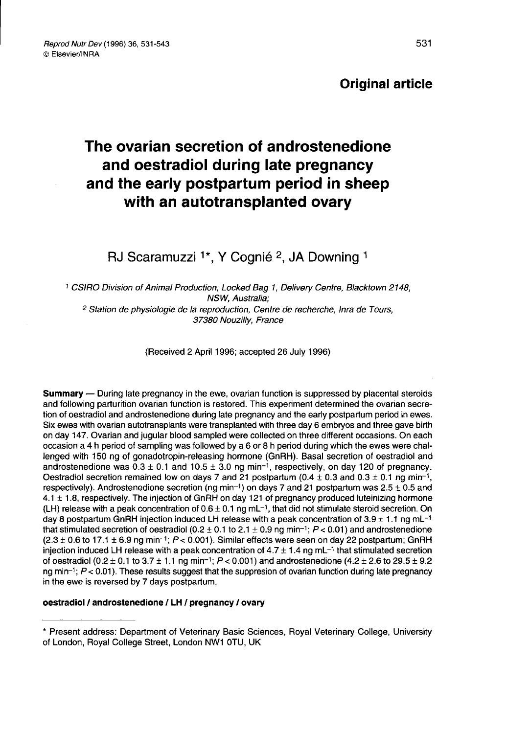### Original article

## The ovarian secretion of androstenedione and oestradiol during late pregnancy and the early postpartum period in sheep with an autotransplanted ovary

RJ Scaramuzzi <sup>1\*</sup>, Y Cognié <sup>2</sup>, JA Downing <sup>1</sup>

<sup>1</sup> CSIRO Division of Animal Production, Locked Bag 1, Delivery Centre, Blacktown 2148, NSW, Australia; <sup>2</sup> Station de physiologie de la reproduction, Centre de recherche, Inra de Tours, 37380 Nouzilly, France

(Received 2 April 1996; accepted 26 July 1996)

Summary ― During late pregnancy in the ewe, ovarian function is suppressed by placental steroids and following parturition ovarian function is restored. This experiment determined the ovarian secretion of oestradiol and androstenedione during late pregnancy and the early postpartum period in ewes. Six ewes with ovarian autotransplants were transplanted with three day 6 embryos and three gave birth on day 147. Ovarian and jugular blood sampled were collected on three different occasions. On each occasion a 4 h period of sampling was followed by a 6 or 8 h period during which the ewes were challenged with 150 ng of gonadotropin-releasing hormone (GnRH). Basal secretion of oestradiol and<br>androstenedione was  $0.3 \pm 0.1$  and  $10.5 \pm 3.0$  ng min<sup>-1</sup>, respectively, on day 120 of pregnancy.<br>Oestradiol secretion remai androstenedione was  $0.3 \pm 0.1$  and  $10.5 \pm 3.0$  ng min<sup>-1</sup>, respectively, on day 120 of pregnancy.<br>Oestradiol secretion remained low on days 7 and 21 postpartum (0.4  $\pm$  0.3 and 0.3  $\pm$  0.1 ng min<sup>-1</sup>, respectively). A 4.1 ± 1.8, respectively. The injection of GnRH on day 121 of pregnancy produced luteinizing hormone 4.1  $\pm$  1.6, respectively. The injection of 0.6  $\pm$  0.1 ng mL-1, that did not stimulate steroid secretion. On day 8 postpartum GnRH injection induced LH release with a peak concentration of 3.9  $\pm$  1.1 ng mL<sup>-1</sup> and  $\$ day 8 postpartum GnRH injection induced LH release with a peak concentration of 3.9  $\pm$  1.1 ng mL<sup>-1</sup><br>that stimulated secretion of oestradiol (0.2  $\pm$  0.1 to 2.1  $\pm$  0.9 ng min<sup>-1</sup>; P < 0.01) and androstenedione  $(2.3 \pm 0.6$  to 17.1  $\pm$  6.9 ng min<sup>-1</sup>;  $P < 0.001$ ). Similar effects were seen on day 22 postpartum; GnRH injection induced LH release with a peak concentration of  $4.7 \pm 1.4$  ng mL<sup>-1</sup> that stimulated secretion injection induced LH release with a peak concentration of  $4.7 \pm 1.4$  ng mL<sup>-1</sup> that stimulated secretion<br>of oestradiol (0.2 ± 0.1 to 3.7 ± 1.1 ng min<sup>-1</sup>;  $P < 0.001$ ) and androstenedione (4.2 ± 2.6 to 29.5 ± 9.2<br>ng min<sup>-</sup> in the ewe is reversed by 7 days postpartum.

#### oestradiol / androstenedione / LH / pregnancy / ovary

<sup>\*</sup> Present address: Department of Veterinary Basic Sciences, Royal Veterinary College, University of London, Royal College Street, London NW1 OTU, UK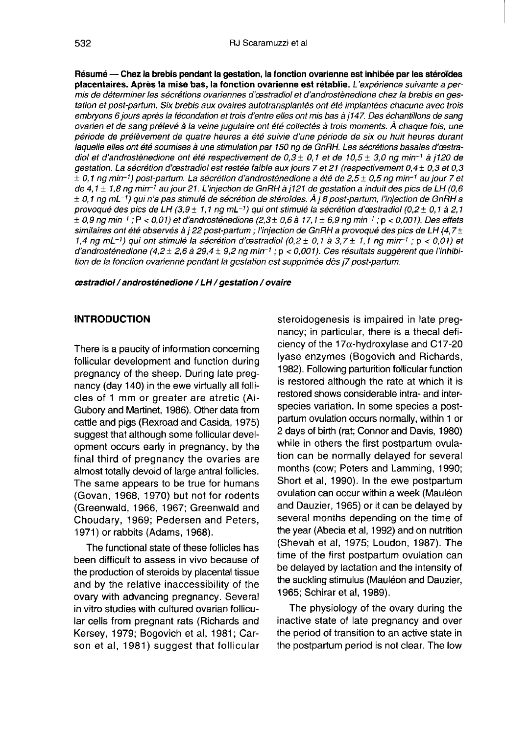Résumé ― Chez la brebis pendant la gestation, la fonction ovarienne est inhibée par les stéroïdes placentaires. Après la mise bas, la fonction ovarienne est rétablie. L'expérience suivante a permis de déterminer les sécrétions ovariennes d'cestradiol et d'androstènedione chez la brebis en gestation et post-partum. Six brebis aux ovaires autotransplantés ont été implantées chacune avec trois embryons 6 jours après la fécondation et trois d'entre elles ont mis bas à j 147. Des échantillons de sang ovarien et de sang prélevé à la veine jugulaire ont été collectés à trois moments. À chaque fois, une période de prélèvement de quatre heures a été suivie d'une période de six ou huit heures durant laquelle elles ont été soumises à une stimulation par 150 ng de GnRH. Les sécrétions basales d'cestradiol et d'androstènedione ont été respectivement de 0,3 ± 0,1 et de 10,5 ± 3,0 ng min<sup>-1</sup> à j120 de<br>gestation. La sécrétion d'œstradiol est restée faible aux jours 7 et 21 (respectivement 0,4 ± 0,3 et 0,3<br>± 0,1 ng min<sup>-1</sup> gestation. La sécrétion d'œstradiol est restée faible aux jours 7 et 21 (respectivement 0,4 ± 0,3 et 0,3  $\pm$  0,3 et 0,3  $\pm$  0,5  $\pm$  0,5  $\pm$  0,5  $\pm$  0,5  $\pm$  0,5  $\pm$  0,5  $\pm$  0,5  $\pm$  0,5  $\pm$  0,5  $\pm$  0,5  $\pm$  0,5 ovarien et de sang prélevé à la veine jugulaire ont été collectés à trois moments. À chaque fois, une<br>période de prélèvement de quatre heures a été suivie d'une période de six ou huit heures durant<br>laquelle elles ont été  $\pm$  0,1 ng mL $^{-1}$ ) qui n'a pas stimulé de sécrétion de stéroïdes. À i 8 post-partum, l'injection de GnRH a provoqué des pics de LH (3,9  $\pm$  1,1 ng mL<sup>-1</sup>) qui ont stimulé la sécrétion d'œstradiol (0,2  $\pm$  0,1 à 2,1  $\pm$  0,1 ng mL-1) qui n'a pas stimulé de sécrétion de stéroïdes. À j 8 post-partum, l'injection de GnRH a<br>provoqué des pics de LH (3,9  $\pm$  1,1 ng mL-1) qui ont stimulé la sécrétion d'œstradiol (0,2  $\pm$  0,1 à 2,1<br> $\pm$  0, similaires ont été observés à j 22 post-partum ; l'injection de GnRH a provoqué des pics de LH (4,7±  $1,4$  ng min-1) qui ont stimulé la sécrétion d'œstradiol (0,2 ± 0,1 à 3,7 ± 1,1 ng min-1 ; p < 0,01) et  $1,4$  ng min<sup>-1</sup>;  $P < 0,01$  et d'androsténedione  $(2,3 \pm 0,6$  à 17,1  $\pm 6,9$  ng min<sup>-1</sup>;  $p < 0,001$ ). Des effets  $\pm 0,9$  ng min<sup>-1</sup>;  $P < 0,001$ ) et d'androsténedione  $(2,3 \pm 0,6$  à 17,1  $\pm 6,9$  ng min<sup>-1</sup>;  $p < 0,001$ ). d'androsténedione (4,2 ± 2,6 à 29,4 ± 9,2 ng min<sup>-1</sup> ; p < 0,001). Ces résultats suggèrent que l'inhibition de la fonction ovarienne pendant la gestation est supprimée dès j7 post-partum.

cestradiol / androsténedione / LH / gestation / ovaire

#### **INTRODUCTION**

There is a paucity of information concerning follicular development and function during pregnancy of the sheep. During late pregnancy (day 140) in the ewe virtually all follicles of 1 mm or greater are atretic (Al-Gubory and Martinet, 1986). Other data from cattle and pigs (Rexroad and Casida, 1975) suggest that although some follicular development occurs early in pregnancy, by the final third of pregnancy the ovaries are almost totally devoid of large antral follicles. The same appears to be true for humans (Govan, 1968, 1970) but not for rodents (Greenwald, 1966, 1967; Greenwald and Choudary, 1969; Pedersen and Peters, 1971) or rabbits (Adams, 1968).

The functional state of these follicles has been difficult to assess in vivo because of the production of steroids by placental tissue and by the relative inaccessibility of the ovary with advancing pregnancy. Several in vitro studies with cultured ovarian follicular cells from pregnant rats (Richards and Kersey, 1979; Bogovich et al, 1981; Carson et al, 1981) suggest that follicular

steroidogenesis is impaired in late pregnancy; in particular, there is a thecal deficiency of the 17 $\alpha$ -hydroxylase and C17-20 lyase enzymes (Bogovich and Richards, 1982). Following parturition follicular function is restored although the rate at which it is restored shows considerable intra- and interspecies variation. In some species a postpartum ovulation occurs normally, within 1 or 2 days of birth (rat; Connor and Davis, 1980) while in others the first postpartum ovulation can be normally delayed for several months (cow; Peters and Lamming, 1990; Short et al, 1990). In the ewe postpartum ovulation can occur within a week (Mauléon and Dauzier, 1965) or it can be delayed by several months depending on the time of the year (Abecia et al, 1992) and on nutrition (Shevah et al, 1975; Loudon, 1987). The time of the first postpartum ovulation can be delayed by lactation and the intensity of the suckling stimulus (Mauléon and Dauzier, 1965; Schirar et al, 1989).

The physiology of the ovary during the inactive state of late pregnancy and over the period of transition to an active state in the postpartum period is not clear. The low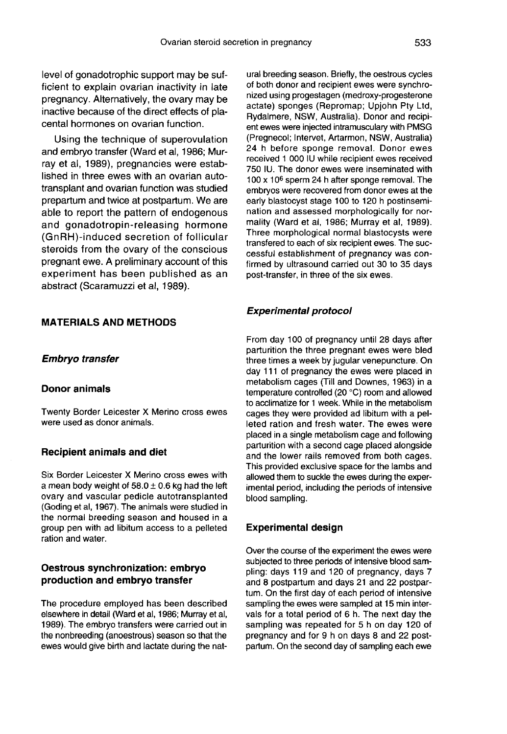level of gonadotrophic support may be sufficient to explain ovarian inactivity in late pregnancy. Alternatively, the ovary may be inactive because of the direct effects of placental hormones on ovarian function.

Using the technique of superovulation and embryo transfer (Ward et al, 1986; Murray et al, 1989), pregnancies were established in three ewes with an ovarian autotransplant and ovarian function was studied prepartum and twice at postpartum. We are able to report the pattern of endogenous and gonadotropin-releasing hormone (GnRH)-induced secretion of follicular steroids from the ovary of the conscious pregnant ewe. A preliminary account of this experiment has been published as an abstract (Scaramuzzi et al, 1989).

#### MATERIALS AND METHODS

#### Embryo transfer

#### Donor animals

Twenty Border Leicester X Merino cross ewes were used as donor animals.

#### Recipient animals and diet

Six Border Leicester X Merino cross ewes with a mean body weight of  $58.0 \pm 0.6$  kg had the left ovary and vascular pedicle autotransplanted (Goding et al, 1967). The animals were studied in the normal breeding season and housed in a group pen with ad libitum access to a pelleted ration and water.

#### Oestrous synchronization: embryo production and embryo transfer

The procedure employed has been described elsewhere in detail (Ward et al, 1986; Murray et al, 1989). The embryo transfers were carried out in the nonbreeding (anoestrous) season so that the ewes would give birth and lactate during the natural breeding season. Briefly, the oestrous cycles of both donor and recipient ewes were synchronized using progestagen (medroxy-progesterone actate) sponges (Repromap; Upjohn Pty Ltd,<br>Rydalmere, NSW, Australia). Donor and recipient ewes were injected intramusculary with PMSG (Pregnecol; Intervet, Artarmon, NSW, Australia) 24 h before sponge removal. Donor ewes received 1 000 IU while recipient ewes received 750 IU. The donor ewes were inseminated with  $100 \times 10^6$  sperm 24 h after sponge removal. The embryos were recovered from donor ewes at the early blastocyst stage 100 to 120 h postinsemination and assessed morphologically for normality (Ward et al, 1986; Murray et al, 1989). Three morphological normal blastocysts were transfered to each of six recipient ewes. The successful establishment of pregnancy was confirmed by ultrasound carried out 30 to 35 days post-transfer, in three of the six ewes.

#### Experimental protocol

From day 100 of pregnancy until 28 days after parturition the three pregnant ewes were bled three times a week by jugular venepuncture. On day 111 of pregnancy the ewes were placed in metabolism cages (Till and Downes, 1963) in a temperature controlled (20 °C) room and allowed to acclimatize for 1 week. While in the metabolism cages they were provided ad libitum with a pelleted ration and fresh water. The ewes were placed in a single metabolism cage and following parturition with a second cage placed alongside and the lower rails removed from both cages. This provided exclusive space for the lambs and allowed them to suckle the ewes during the experimental period, including the periods of intensive blood sampling.

#### Experimental design

Over the course of the experiment the ewes were subjected to three periods of intensive blood sampling: days 119 and 120 of pregnancy, days 7 and 8 postpartum and days 21 and 22 postpar tum. On the first day of each period of intensive sampling the ewes were sampled at 15 min intervals for a total period of 6 h. The next day the sampling was repeated for 5 h on day 120 of pregnancy and for 9 h on days 8 and 22 postpartum. On the second day of sampling each ewe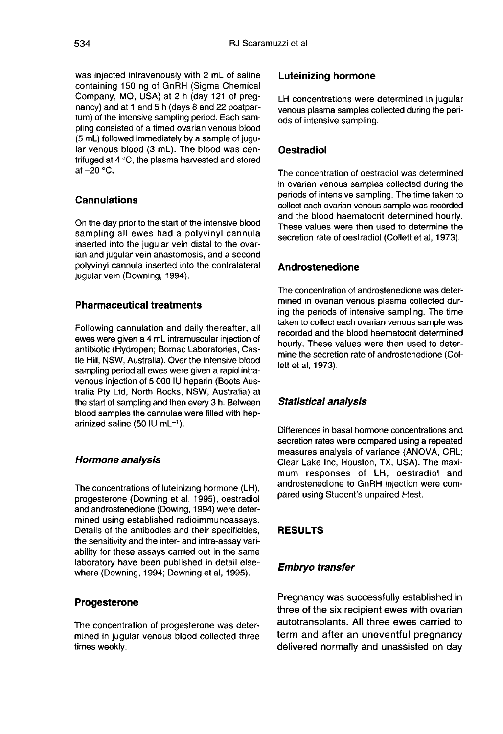was injected intravenously with 2 mL of saline containing 150 ng of GnRH (Sigma Chemical Company, MO, USA) at 2 h (day 121 of pregnancy) and at 1 and 5 h (days 8 and 22 postpartum) of the intensive sampling period. Each sampling consisted of a timed ovarian venous blood (5 mL) followed immediately by a sample of jugular venous blood (3 mL). The blood was centrifuged at 4 °C, the plasma harvested and stored at  $-20$  °C.

#### **Cannulations**

On the day prior to the start of the intensive blood sampling all ewes had a polyvinyl cannula inserted into the jugular vein distal to the ovarian and jugular vein anastomosis, and a second polyvinyl cannula inserted into the contralateral jugular vein (Downing, 1994).

#### Pharmaceutical treatments

Following cannulation and daily thereafter, all ewes were given a 4 mL intramuscular injection of antibiotic (Hydropen; Bomac Laboratories, Castle Hill, NSW, Australia). Over the intensive blood sampling period all ewes were given a rapid intravenous injection of 5 000 IU heparin (Boots Australia Pty Ltd, North Rocks, NSW, Australia) at the start of sampling and then every 3 h. Between blood samples the cannulae were filled with heparinized saline (50 IU mL $^{-1}$ ).

#### Hormone analysis

The concentrations of luteinizing hormone (LH), progesterone (Downing et al, 1995), oestradiol and androstenedione (Dowing, 1994) were determined using established radioimmunoassays. Details of the antibodies and their specificities, the sensitivity and the inter- and intra-assay variability for these assays carried out in the same laboratory have been published in detail elsewhere (Downing, 1994; Downing et al, 1995).

#### Progesterone

The concentration of progesterone was determined in jugular venous blood collected three times weekly.

#### Luteinizing hormone

LH concentrations were determined in jugular venous plasma samples collected during the periods of intensive sampling.

#### **Oestradiol**

The concentration of oestradiol was determined in ovarian venous samples collected during the periods of intensive sampling. The time taken to collect each ovarian venous sample was recorded and the blood haematocrit determined hourly. These values were then used to determine the secretion rate of oestradiol (Collett et al, 1973).

#### Androstenedione

The concentration of androstenedione was determined in ovarian venous plasma collected during the periods of intensive sampling. The time taken to collect each ovarian venous sample was recorded and the blood haematocrit determined hourly. These values were then used to determine the secretion rate of androstenedione (Collett et al, 1973).

#### Statistical analysis

Differences in basal hormone concentrations and secretion rates were compared using a repeated measures analysis of variance (ANOVA, CRL; Clear Lake Inc, Houston, TX, USA). The maximum responses of LH, oestradiol and androstenedione to GnRH injection were compared using Student's unpaired t-test.

#### RESULTS

#### Embryo transfer

Pregnancy was successfully established in three of the six recipient ewes with ovarian autotransplants. All three ewes carried to term and after an uneventful pregnancy delivered normally and unassisted on day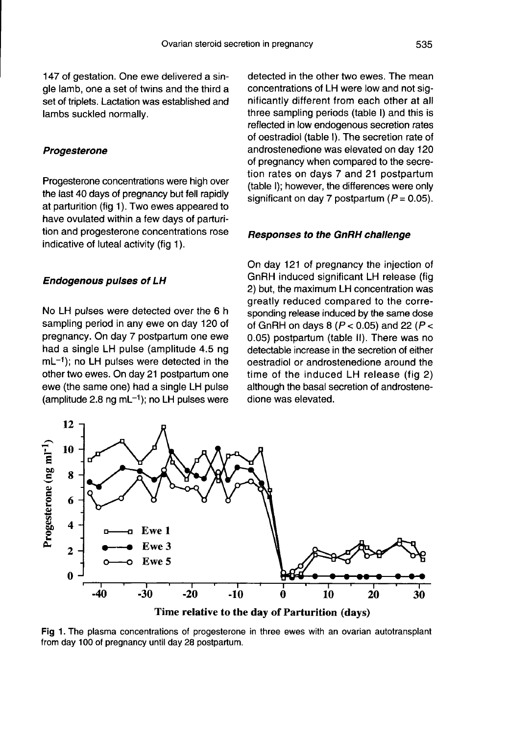147 of gestation. One ewe delivered a single lamb, one a set of twins and the third a set of triplets. Lactation was established and lambs suckled normally.

#### **Progesterone**

Progesterone concentrations were high over the last 40 days of pregnancy but fell rapidly at parturition (fig 1). Two ewes appeared to have ovulated within a few days of parturition and progesterone concentrations rose indicative of luteal activity (fig 1).

#### Endogenous pulses of LH

No LH pulses were detected over the 6 h sampling period in any ewe on day 120 of pregnancy. On day 7 postpartum one ewe had a single LH pulse (amplitude 4.5 ng  $mL^{-1}$ ); no LH pulses were detected in the other two ewes. On day 21 postpartum one ewe (the same one) had a single LH pulse (amplitude 2.8 ng mL $^{-1}$ ); no LH pulses were detected in the other two ewes. The mean concentrations of LH were low and not significantly different from each other at all three sampling periods (table I) and this is reflected in low endogenous secretion rates of oestradiol (table I). The secretion rate of androstenedione was elevated on day 120 of pregnancy when compared to the secretion rates on days 7 and 21 postpartum (table I); however, the differences were only significant on day 7 postpartum ( $P = 0.05$ ).

#### Responses to the GnRH challenge

On day 121 of pregnancy the injection of GnRH induced significant LH release (fig 2) but, the maximum LH concentration was greatly reduced compared to the corresponding release induced by the same dose of GnRH on days 8 ( $P < 0.05$ ) and 22 ( $P <$ 0.05) postpartum (table II). There was no detectable increase in the secretion of either oestradiol or androstenedione around the time of the induced LH release (fig 2) although the basal secretion of androstenedione was elevated.



Fig 1. The plasma concentrations of progesterone in three ewes with an ovarian autotransplant from day 100 of pregnancy until day 28 postpartum.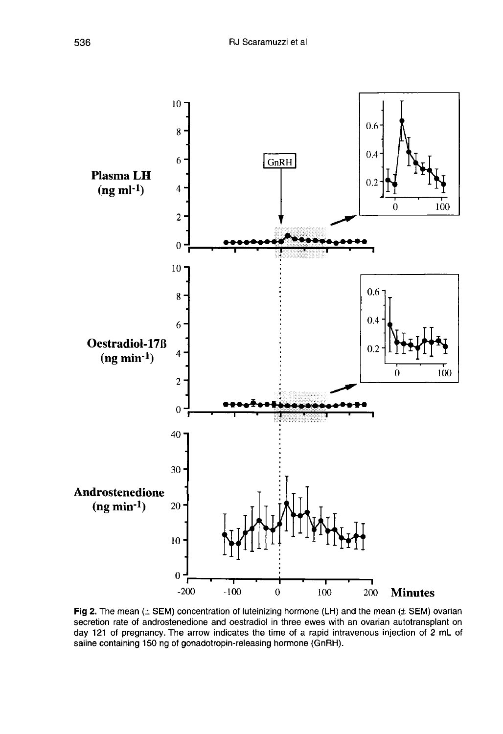

Fig 2. The mean  $(\pm$  SEM) concentration of luteinizing hormone (LH) and the mean  $(\pm$  SEM) ovarian secretion rate of androstenedione and oestradiol in three ewes with an ovarian autotransplant on day 121 of pregnancy. The arrow indicates the time of a rapid intravenous injection of 2 mL of saline containing 150 ng of gonadotropin-releasing hormone (GnRH).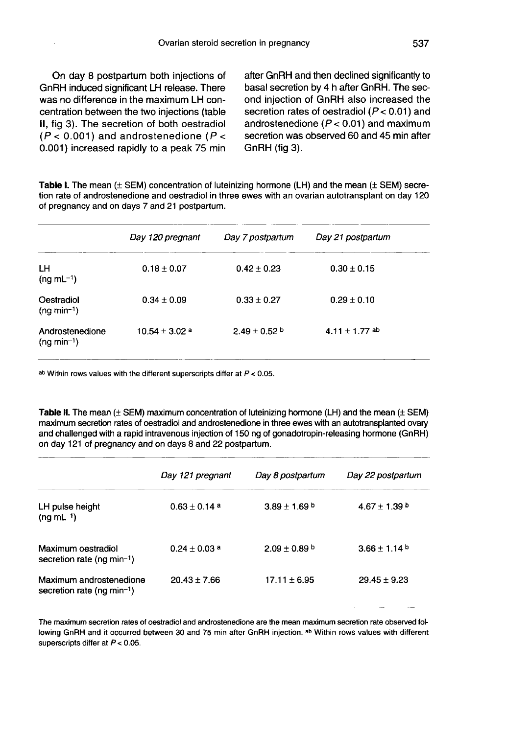On day 8 postpartum both injections of GnRH induced significant LH release. There was no difference in the maximum LH concentration between the two injections (table II, fig 3). The secretion of both oestradiol  $(P < 0.001)$  and androstenedione ( $P <$ 0.001) increased rapidly to a peak 75 min

after GnRH and then declined significantly to basal secretion by 4 h after GnRH. The second injection of GnRH also increased the secretion rates of oestradiol  $(P < 0.01)$  and androstenedione ( $P < 0.01$ ) and maximum secretion was observed 60 and 45 min after GnRH (fig 3).

Table I. The mean  $(\pm$  SEM) concentration of luteinizing hormone (LH) and the mean  $(\pm$  SEM) secretion rate of androstenedione and oestradiol in three ewes with an ovarian autotransplant on day 120 of pregnancy and on days 7 and 21 postpartum.

|                                 | Day 120 pregnant            | Day 7 postpartum  | Day 21 postpartum  |
|---------------------------------|-----------------------------|-------------------|--------------------|
| LН<br>$(nq mL^{-1})$            | $0.18 \pm 0.07$             | $0.42 \pm 0.23$   | $0.30 \pm 0.15$    |
| Oestradiol<br>$(ng min-1)$      | $0.34 \pm 0.09$             | $0.33 \pm 0.27$   | $0.29 \pm 0.10$    |
| Androstenedione<br>$(ng min-1)$ | $10.54 + 3.02$ <sup>a</sup> | $2.49 \pm 0.52$ b | 4.11 $\pm$ 1.77 ab |

ab Within rows values with the different superscripts differ at  $P < 0.05$ .

Table II. The mean  $(\pm$  SEM) maximum concentration of luteinizing hormone (LH) and the mean  $(\pm$  SEM) maximum secretion rates of oestradiol and androstenedione in three ewes with an autotransplanted ovary and challenged with a rapid intravenous injection of 150 ng of gonadotropin-releasing hormone (GnRH) on day 121 of pregnancy and on days 8 and 22 postpartum.

|                                                                   | Day 121 pregnant  | Day 8 postpartum  | Day 22 postpartum |
|-------------------------------------------------------------------|-------------------|-------------------|-------------------|
| LH pulse height<br>$(nq mL^{-1})$                                 | $0.63 \pm 0.14$ a | $3.89 \pm 1.69$ b | $4.67 \pm 1.39$ b |
| Maximum oestradiol<br>secretion rate (ng min-1)                   | $0.24 + 0.03$ a   | $2.09 + 0.89$ b   | $3.66 + 1.14$     |
| Maximum androstenedione<br>secretion rate (ng min <sup>-1</sup> ) | $20.43 \pm 7.66$  | $17.11 \pm 6.95$  | $29.45 \pm 9.23$  |

The maximum secretion rates of oestradiol and androstenedione are the mean maximum secretion rate observed following GnRH and it occurred between 30 and 75 min after GnRH injection. ab Within rows values with different superscripts differ at  $P < 0.05$ .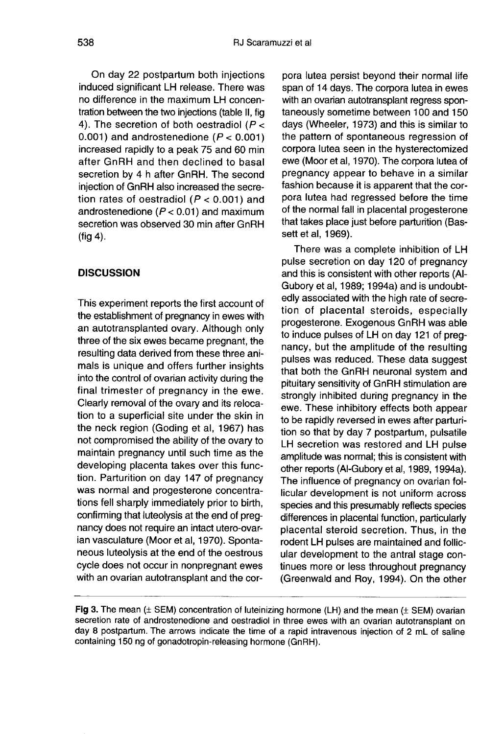On day 22 postpartum both injections induced significant LH release. There was no difference in the maximum LH concentration between the two injections (table II, fig 4). The secretion of both oestradiol ( $P <$ 0.001) and androstenedione ( $P < 0.001$ ) increased rapidly to a peak 75 and 60 min after GnRH and then declined to basal secretion by 4 h after GnRH. The second injection of GnRH also increased the secretion rates of oestradiol ( $P < 0.001$ ) and androstenedione ( $P < 0.01$ ) and maximum secretion was observed 30 min after GnRH (fig 4).

#### DISCUSSION

This experiment reports the first account of the establishment of pregnancy in ewes with an autotransplanted ovary. Although only three of the six ewes became pregnant, the resulting data derived from these three animals is unique and offers further insights into the control of ovarian activity during the final trimester of pregnancy in the ewe. Clearly removal of the ovary and its relocation to a superficial site under the skin in the neck region (Goding et al, 1967) has not compromised the ability of the ovary to maintain pregnancy until such time as the developing placenta takes over this function. Parturition on day 147 of pregnancy was normal and progesterone concentrations fell sharply immediately prior to birth, confirming that luteolysis at the end of pregnancy does not require an intact utero-ovarian vasculature (Moor et al, 1970). Sponta neous luteolysis at the end of the oestrous cycle does not occur in nonpregnant ewes with an ovarian autotransplant and the corpora lutea persist beyond their normal life span of 14 days. The corpora lutea in ewes with an ovarian autotransplant regress spontaneously sometime between 100 and 150 days (Wheeler, 1973) and this is similar to the pattern of spontaneous regression of corpora lutea seen in the hysterectomized ewe (Moor et al, 1970). The corpora lutea of pregnancy appear to behave in a similar fashion because it is apparent that the corpora lutea had regressed before the time of the normal fall in placental progesterone that takes place just before parturition (Bassett et al, 1969).

There was a complete inhibition of LH pulse secretion on day 120 of pregnancy and this is consistent with other reports (Al-Gubory et al, 1989; 1994a) and is undoubtedly associated with the high rate of secretion of placental steroids, especially progesterone. Exogenous GnRH was able to induce pulses of LH on day 121 of pregnancy, but the amplitude of the resulting pulses was reduced. These data suggest that both the GnRH neuronal system and pituitary sensitivity of GnRH stimulation are strongly inhibited during pregnancy in the ewe. These inhibitory effects both appear to be rapidly reversed in ewes after parturition so that by day 7 postpartum, pulsatile LH secretion was restored and LH pulse amplitude was normal; this is consistent with other reports (Al-Gubory et al, 1989, 1994a). The influence of pregnancy on ovarian follicular development is not uniform across species and this presumably reflects species differences in placental function, particularly placental steroid secretion. Thus, in the rodent LH pulses are maintained and follicular development to the antral stage continues more or less throughout pregnancy (Greenwald and Roy, 1994). On the other

Fig 3. The mean  $(±$  SEM) concentration of luteinizing hormone  $(LH)$  and the mean  $(±$  SEM) ovarian secretion rate of androstenedione and oestradiol in three ewes with an ovarian autotransplant on day 8 postpartum. The arrows indicate the time of a rapid intravenous injection of 2 mL of saline containing 150 ng of gonadotropin-releasing hormone (GnRH).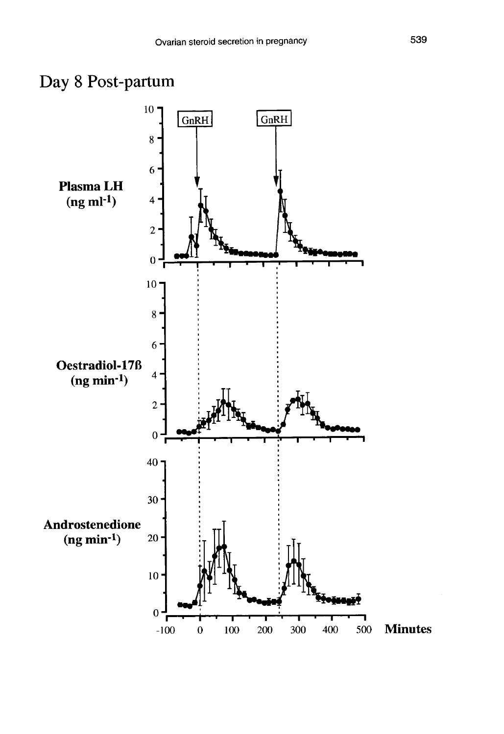

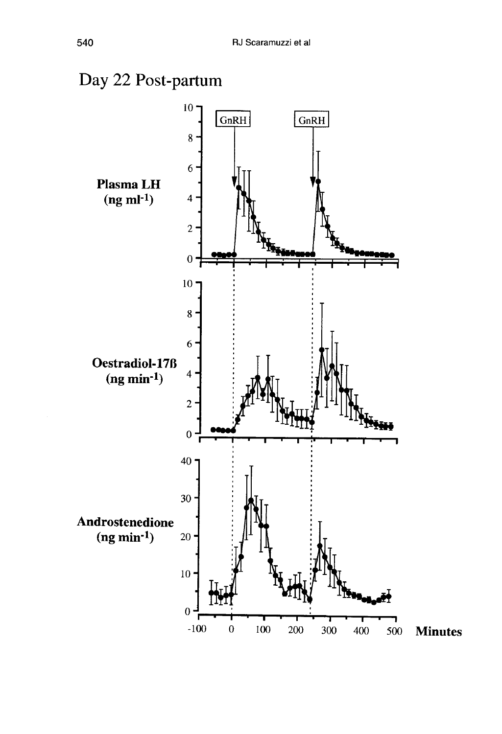# Day 22 Post-partum

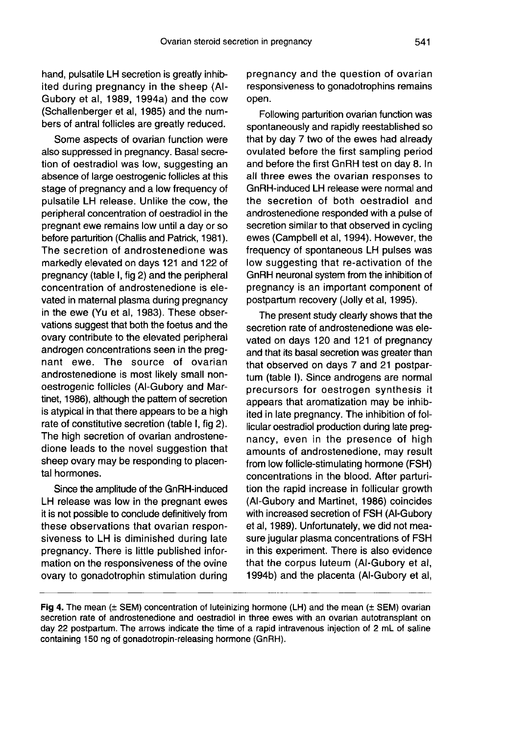hand, pulsatile LH secretion is greatly inhibited during pregnancy in the sheep (Al-Gubory et al, 1989, 1994a) and the cow (Schallenberger et al, 1985) and the numbers of antral follicles are greatly reduced.

Some aspects of ovarian function were also suppressed in pregnancy. Basal secretion of oestradiol was low, suggesting an absence of large oestrogenic follicles at this stage of pregnancy and a low frequency of pulsatile LH release. Unlike the cow, the peripheral concentration of oestradiol in the pregnant ewe remains low until a day or so before parturition (Challis and Patrick, 1981 ). The secretion of androstenedione was markedly elevated on days 121 and 122 of pregnancy (table I, fig 2) and the peripheral concentration of androstenedione is elevated in maternal plasma during pregnancy in the ewe (Yu et al, 1983). These observations suggest that both the foetus and the ovary contribute to the elevated peripheral androgen concentrations seen in the pregnant ewe. The source of ovarian androstenedione is most likely small nonoestrogenic follicles (Al-Gubory and Martinet, 1986), although the pattern of secretion is atypical in that there appears to be a high rate of constitutive secretion (table I, fig 2). The high secretion of ovarian androstenedione leads to the novel suggestion that sheep ovary may be responding to placental hormones.

Since the amplitude of the GnRH-induced LH release was low in the pregnant ewes it is not possible to conclude definitively from these observations that ovarian responsiveness to LH is diminished during late pregnancy. There is little published information on the responsiveness of the ovine ovary to gonadotrophin stimulation during pregnancy and the question of ovarian responsiveness to gonadotrophins remains open.

Following parturition ovarian function was spontaneously and rapidly reestablished so that by day 7 two of the ewes had already ovulated before the first sampling period and before the first GnRH test on day 8. In all three ewes the ovarian responses to GnRH-induced LH release were normal and the secretion of both oestradiol and androstenedione responded with a pulse of secretion similar to that observed in cycling ewes (Campbell et al, 1994). However, the frequency of spontaneous LH pulses was low suggesting that re-activation of the GnRH neuronal system from the inhibition of pregnancy is an important component of postpartum recovery (Jolly et al, 1995).

The present study clearly shows that the secretion rate of androstenedione was elevated on days 120 and 121 of pregnancy and that its basal secretion was greater than that observed on days 7 and 21 postpartum (table I). Since androgens are normal precursors for oestrogen synthesis it appears that aromatization may be inhibited in late pregnancy. The inhibition of follicular oestradiol production during late pregnancy, even in the presence of high amounts of androstenedione, may result from low follicle-stimulating hormone (FSH) concentrations in the blood. After parturition the rapid increase in follicular growth (Al-Gubory and Martinet, 1986) coincides with increased secretion of FSH (Al-Gubory et ai, 1989). Unfortunately, we did not measure jugular plasma concentrations of FSH in this experiment. There is also evidence that the corpus luteum (Al-Gubory et al, 1994b) and the placenta (Al-Gubory et al,

Fig 4. The mean  $(\pm$  SEM) concentration of luteinizing hormone (LH) and the mean  $(\pm$  SEM) ovarian secretion rate of androstenedione and oestradiol in three ewes with an ovarian autotransplant on day 22 postpartum. The arrows indicate the time of a rapid intravenous injection of 2 mL of saline containing 150 ng of gonadotropin-releasing hormone (GnRH).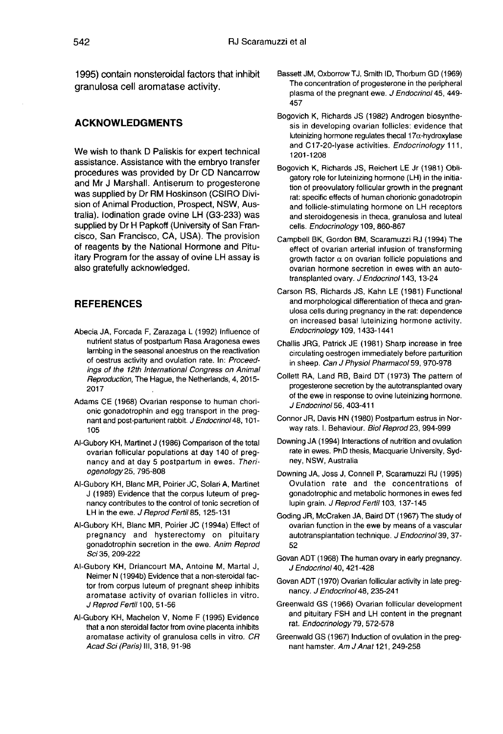1995) contain nonsteroidal factors that inhibit granulosa cell aromatase activity.

#### ACKNOWLEDGMENTS

We wish to thank D Paliskis for expert technical assistance. Assistance with the embryo transfer procedures was provided by Dr CD Nancarrow was supplied by Dr RM Hoskinson (CSIRO Division of Animal Production, Prospect, NSW, Australia). lodination grade ovine LH (G3-233) was supplied by Dr H Papkoff (University of San Francisco, San Francisco, CA, USA). The provision of reagents by the National Hormone and Pituitary Program for the assay of ovine LH assay is also gratefully acknowledged.

#### REFERENCES

- Abecia JA, Forcada F, Zarazaga L (1992) Influence of nutrient status of postpartum Rasa Aragonesa ewes lambing in the seasonal anoestrus on the reactivation of oestrus activity and ovulation rate. In: Proceedings of the 12th International Congress on Animal Reproduction, The Hague, the Netherlands, 4, 2015- 2017 7,
- Adams CE (1968) Ovarian response to human chorionic gonadotrophin and egg transport in the pregnant and post-parturient rabbit. J Endocrinol 48, 101-105
- Al-Gubory KH, Martinet J (1986) Comparison of the total ovarian follicular populations at day 140 of pregnancy and at day 5 postpartum in ewes. Theriogenology 25, 795-808
- Al-Gubory KH, Blanc MR, Poirier JC, Solari A, Martinet J (1989) Evidence that the corpus luteum of pregnancy contributes to the control of tonic secretion of LH in the ewe. J Reprod Fertil 85, 125-131
- Al-Gubory KH, Blanc MR, Poirier JC (1994a) Effect of pregnancy and hysterectomy on pituitary gonadotrophin secretion in the ewe. Anim Reprod Sci 35, 209-222
- Al-Gubory KH, Driancourt MA, Antoine M, Martal J, Neimer N (1994b) Evidence that a non-steroidal factor from corpus luteum of pregnant sheep inhibits aromatase activity of ovarian follicles in vitro. J Reprod Fertil 100, 51-56
- Al-Gubory KH, Machelon V, Nome F (1995) Evidence that a non steroidal factor from ovine placenta inhibits aromatase activity of granulosa cells in vitro. CR Acad Sci (Paris) III, 318, 91-98
- Bassett JM, Oxborrow TJ, Smith ID, Thorbum GD (1969) The concentration of progesterone in the peripheral plasma of the pregnant ewe. J Endocrinol 45, 449-457
- Bogovich K, Richards JS (1982) Androgen biosynthe sis in developing ovarian follicles: evidence that luteinizing hormone regulates thecal  $17\alpha$ -hydroxylase and C17-20-lyase activities. Endocrinology 111, 1201-1208
- Bogovich K, Richards JS, Reichert LE Jr (1981) Obligatory role for luteinizing hormone (LH) in the initiation of preovulatory follicular growth in the pregnant rat: specific effects of human chorionic gonadotropin and follicle-stimulating hormone on LH receptors and steroidogenesis in theca, granulosa and luteal cells. Endocrinology 109, 860-867
- Campbell BK, Gordon BM, Scaramuzzi RJ (1994) The effect of ovarian arterial infusion of transforming growth factor  $\alpha$  on ovarian follicle populations and ovarian hormone secretion in ewes with an autotransplanted ovary. J Endocrinol 143, 13-24
- Carson RS, Richards JS, Kahn LE (1981) Functional and morphological differentiation of theca and granulosa cells during pregnancy in the rat: dependence on increased basal luteinizing hormone activity. Endocrinology 109, 1433-1441
- Challis JRG, Patrick JE (1981) Sharp increase in free circulating oestrogen immediately before parturition in sheep. Can J Physiol Pharmacol 59, 970-978
- Collett RA, Land RB, Baird DT (1973) The pattern of progesterone secretion by the autotransplanted ovary of the ewe in response to ovine luteinizing hormone. J Endocrinol 56, 403-411
- Connor JR, Davis HN (1980) Postpartum estrus in Norway rats. I. Behaviour. Biol Reprod 23, 994-999
- Downing JA (1994) Interactions of nutrition and ovulation rate in ewes. PhD thesis, Macquarie University, Sydney, NSW, Australia
- Downing JA, Joss J, Connell P, Scaramuzzi RJ (1995) Ovulation rate and the concentrations of gonadotrophic and metabolic hormones in ewes fed lupin grain. J Reprod Fertil 103, 137-145
- Goding JR, McCraken JA, Baird DT (1967) The study of ovarian function in the ewe by means of a vascular autotransplantation technique. J Endocrinol 39, 37-52
- Govan ADT (1968) The human ovary in early pregnancy. J Endocrinol 40, 421-428
- Govan ADT (1970) Ovarian follicular activity in late pregnancy. J Endocrinol 48, 235-241
- Greenwald GS (1966) Ovarian follicular development and pituitary FSH and LH content in the pregnant rat. Endocrinology 79, 572-578
- Greenwald GS (1967) Induction of ovulation in the pregnant hamster. Am J Anat 121, 249-258